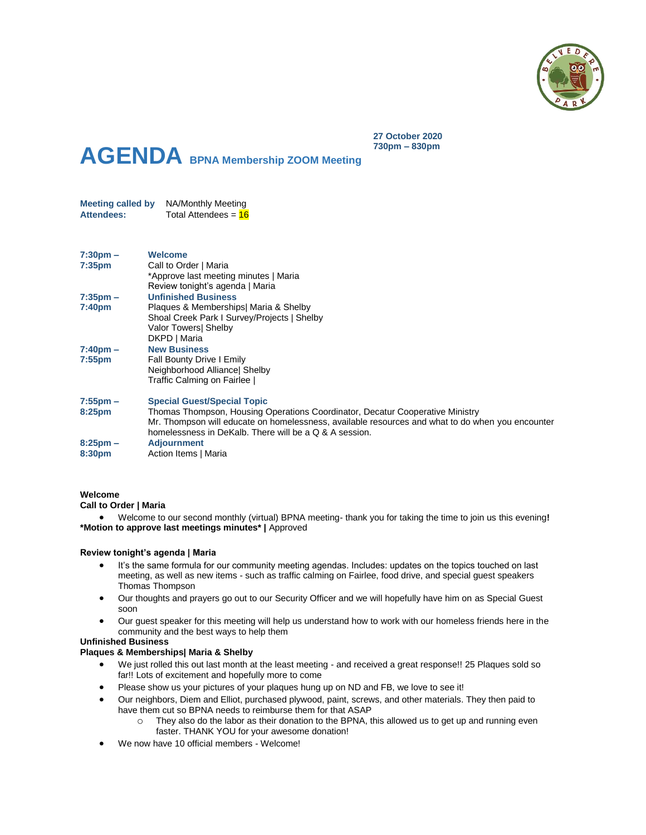

**AGENDA BPNA Membership ZOOM Meeting**

**Meeting called by** NA/Monthly Meeting **Attendees:** Total Attendees = 16

| $7:30 \text{pm} -$ | <b>Welcome</b>                                                                                   |
|--------------------|--------------------------------------------------------------------------------------------------|
| 7:35 <sub>pm</sub> | Call to Order   Maria                                                                            |
|                    | *Approve last meeting minutes   Maria                                                            |
|                    | Review tonight's agenda   Maria                                                                  |
| $7:35 \text{pm} -$ | <b>Unfinished Business</b>                                                                       |
| 7:40 <sub>pm</sub> | Plaques & Memberships  Maria & Shelby                                                            |
|                    | Shoal Creek Park I Survey/Projects   Shelby                                                      |
|                    | Valor Towers Shelby                                                                              |
|                    | DKPD   Maria                                                                                     |
| $7:40 \text{pm} -$ | <b>New Business</b>                                                                              |
| $7:55$ pm          | Fall Bounty Drive I Emily                                                                        |
|                    | Neighborhood Alliancel Shelby                                                                    |
|                    | Traffic Calming on Fairlee                                                                       |
|                    |                                                                                                  |
| $7:55$ pm $-$      | <b>Special Guest/Special Topic</b>                                                               |
| 8:25pm             | Thomas Thompson, Housing Operations Coordinator, Decatur Cooperative Ministry                    |
|                    | Mr. Thompson will educate on homelessness, available resources and what to do when you encounter |
|                    | homelessness in DeKalb. There will be a Q & A session.                                           |
| $8:25 \text{pm} -$ | <b>Adjournment</b>                                                                               |
| 8:30pm             | Action Items   Maria                                                                             |
|                    |                                                                                                  |

**27 October 2020 730pm – 830pm**

### **Welcome**

### **Call to Order | Maria**

 Welcome to our second monthly (virtual) BPNA meeting- thank you for taking the time to join us this evening**! \*Motion to approve last meetings minutes\* |** Approved

### **Review tonight's agenda | Maria**

- It's the same formula for our community meeting agendas. Includes: updates on the topics touched on last meeting, as well as new items - such as traffic calming on Fairlee, food drive, and special guest speakers Thomas Thompson
- Our thoughts and prayers go out to our Security Officer and we will hopefully have him on as Special Guest soon
- Our guest speaker for this meeting will help us understand how to work with our homeless friends here in the community and the best ways to help them

# **Unfinished Business**

### **Plaques & Memberships| Maria & Shelby**

- We just rolled this out last month at the least meeting and received a great response!! 25 Plaques sold so far!! Lots of excitement and hopefully more to come
- Please show us your pictures of your plaques hung up on ND and FB, we love to see it!
- Our neighbors, Diem and Elliot, purchased plywood, paint, screws, and other materials. They then paid to have them cut so BPNA needs to reimburse them for that ASAP
	- $\circ$  They also do the labor as their donation to the BPNA, this allowed us to get up and running even faster. THANK YOU for your awesome donation!
- We now have 10 official members Welcome!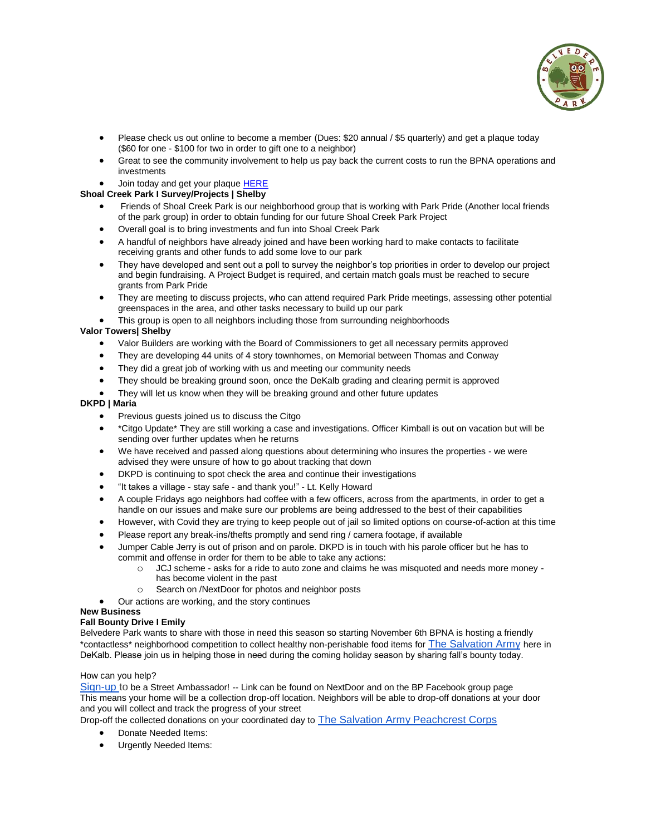

- Please check us out online to become a member (Dues: \$20 annual / \$5 quarterly) and get a plaque today (\$60 for one - \$100 for two in order to gift one to a neighbor)
- Great to see the community involvement to help us pay back the current costs to run the BPNA operations and investments
- Join today and get your plaqu[e HERE](https://www.belvederepark.org/association-memberships)

# **Shoal Creek Park I Survey/Projects | Shelby**

- Friends of Shoal Creek Park is our neighborhood group that is working with Park Pride (Another local friends of the park group) in order to obtain funding for our future Shoal Creek Park Project
- Overall goal is to bring investments and fun into Shoal Creek Park
- A handful of neighbors have already joined and have been working hard to make contacts to facilitate receiving grants and other funds to add some love to our park
- They have developed and sent out a poll to survey the neighbor's top priorities in order to develop our project and begin fundraising. A Project Budget is required, and certain match goals must be reached to secure grants from Park Pride
- They are meeting to discuss projects, who can attend required Park Pride meetings, assessing other potential greenspaces in the area, and other tasks necessary to build up our park
- This group is open to all neighbors including those from surrounding neighborhoods

## **Valor Towers| Shelby**

- Valor Builders are working with the Board of Commissioners to get all necessary permits approved
- They are developing 44 units of 4 story townhomes, on Memorial between Thomas and Conway
- They did a great job of working with us and meeting our community needs
- They should be breaking ground soon, once the DeKalb grading and clearing permit is approved
- They will let us know when they will be breaking ground and other future updates

### **DKPD | Maria**

- Previous guests joined us to discuss the Citgo
- \*Citgo Update\* They are still working a case and investigations. Officer Kimball is out on vacation but will be sending over further updates when he returns
- We have received and passed along questions about determining who insures the properties we were advised they were unsure of how to go about tracking that down
- DKPD is continuing to spot check the area and continue their investigations
- "It takes a village stay safe and thank you!" Lt. Kelly Howard
- A couple Fridays ago neighbors had coffee with a few officers, across from the apartments, in order to get a handle on our issues and make sure our problems are being addressed to the best of their capabilities
- However, with Covid they are trying to keep people out of jail so limited options on course-of-action at this time
- Please report any break-ins/thefts promptly and send ring / camera footage, if available
- Jumper Cable Jerry is out of prison and on parole. DKPD is in touch with his parole officer but he has to commit and offense in order for them to be able to take any actions:
	- o JCJ scheme asks for a ride to auto zone and claims he was misquoted and needs more money -
	- has become violent in the past
	- o Search on /NextDoor for photos and neighbor posts
- Our actions are working, and the story continues

## **New Business**

### **Fall Bounty Drive I Emily**

Belvedere Park wants to share with those in need this season so starting November 6th BPNA is hosting a friendly \*contactless\* neighborhood competition to collect healthy non-perishable food items for [The Salvation Army](https://salvationarmyatlanta.org/donate-food/) here in DeKalb. Please join us in helping those in need during the coming holiday season by sharing fall's bounty today.

### How can you help?

[Sign-up](https://docs.google.com/spreadsheets/d/19Xx_ab2nLZfn4g3ZO9TjumkoMJXPceQ57yCCGD98zZo/edit?usp=sharing) to be a Street Ambassador! -- Link can be found on NextDoor and on the BP Facebook group page This means your home will be a collection drop-off location. Neighbors will be able to drop-off donations at your door and you will collect and track the progress of your street

Drop-off the collected donations on your coordinated day to [The Salvation Army Peachcrest Corps](https://goo.gl/maps/vwwiwHLmnG2VrSLX7)

- Donate Needed Items:
- Urgently Needed Items: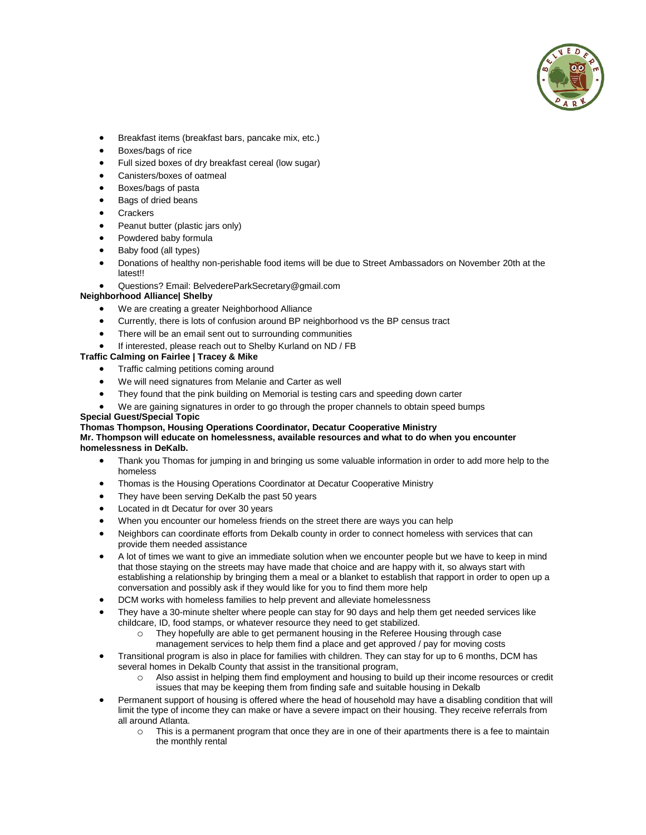

- Breakfast items (breakfast bars, pancake mix, etc.)
- Boxes/bags of rice
- Full sized boxes of dry breakfast cereal (low sugar)
- Canisters/boxes of oatmeal
- Boxes/bags of pasta
- Bags of dried beans
- **Crackers**
- Peanut butter (plastic jars only)
- Powdered baby formula
- Baby food (all types)
- Donations of healthy non-perishable food items will be due to Street Ambassadors on November 20th at the latest!!
- Questions? Email: BelvedereParkSecretary@gmail.com

### **Neighborhood Alliance| Shelby**

- We are creating a greater Neighborhood Alliance
- Currently, there is lots of confusion around BP neighborhood vs the BP census tract
- There will be an email sent out to surrounding communities
- If interested, please reach out to Shelby Kurland on ND / FB

# **Traffic Calming on Fairlee | Tracey & Mike**

- Traffic calming petitions coming around
- We will need signatures from Melanie and Carter as well
- They found that the pink building on Memorial is testing cars and speeding down carter
- We are gaining signatures in order to go through the proper channels to obtain speed bumps

#### **Special Guest/Special Topic**

#### **Thomas Thompson, Housing Operations Coordinator, Decatur Cooperative Ministry Mr. Thompson will educate on homelessness, available resources and what to do when you encounter homelessness in DeKalb.**

- Thank you Thomas for jumping in and bringing us some valuable information in order to add more help to the homeless
- Thomas is the Housing Operations Coordinator at Decatur Cooperative Ministry
- They have been serving DeKalb the past 50 years
- Located in dt Decatur for over 30 years
- When you encounter our homeless friends on the street there are ways you can help
- Neighbors can coordinate efforts from Dekalb county in order to connect homeless with services that can provide them needed assistance
- A lot of times we want to give an immediate solution when we encounter people but we have to keep in mind that those staying on the streets may have made that choice and are happy with it, so always start with establishing a relationship by bringing them a meal or a blanket to establish that rapport in order to open up a conversation and possibly ask if they would like for you to find them more help
- DCM works with homeless families to help prevent and alleviate homelessness
- They have a 30-minute shelter where people can stay for 90 days and help them get needed services like childcare, ID, food stamps, or whatever resource they need to get stabilized.
	- o They hopefully are able to get permanent housing in the Referee Housing through case management services to help them find a place and get approved / pay for moving costs
- Transitional program is also in place for families with children. They can stay for up to 6 months, DCM has several homes in Dekalb County that assist in the transitional program,
	- o Also assist in helping them find employment and housing to build up their income resources or credit issues that may be keeping them from finding safe and suitable housing in Dekalb
- Permanent support of housing is offered where the head of household may have a disabling condition that will limit the type of income they can make or have a severe impact on their housing. They receive referrals from all around Atlanta.
	- o This is a permanent program that once they are in one of their apartments there is a fee to maintain the monthly rental